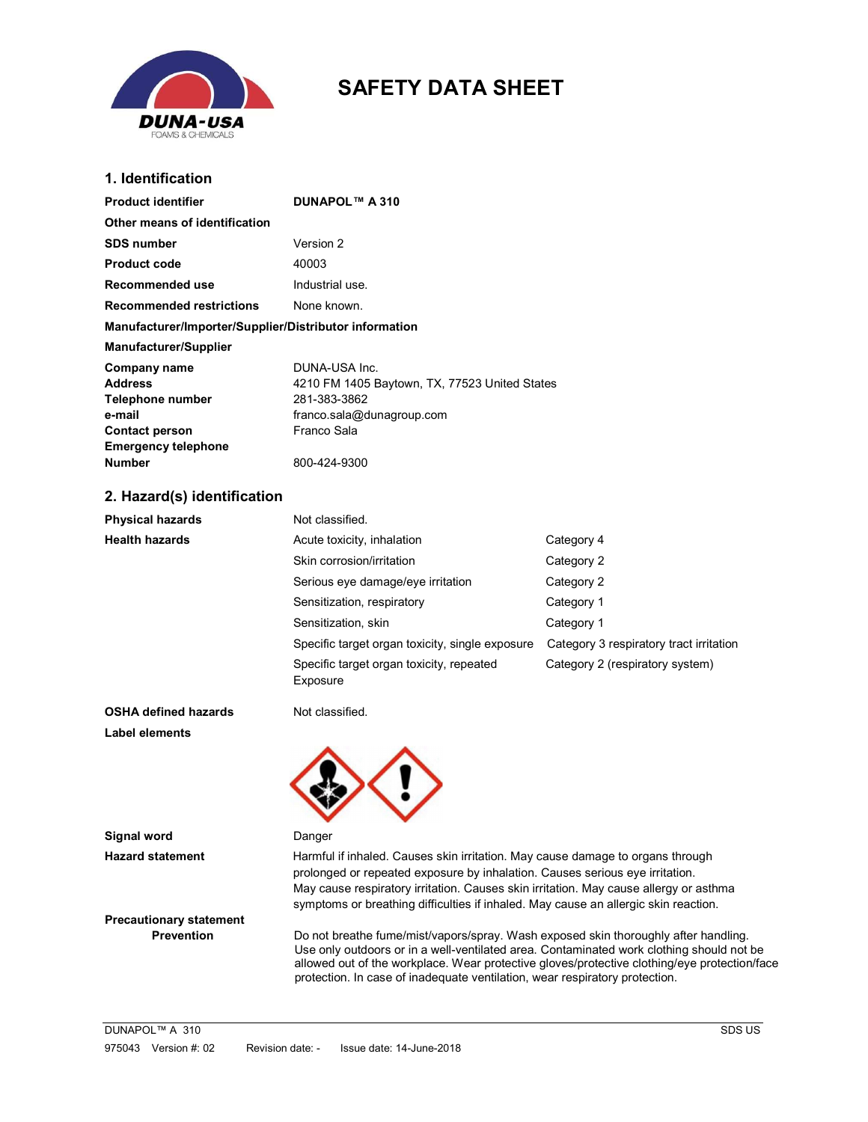

# SAFETY DATA SHEET

## 1. Identification

| <b>Product identifier</b>                                                             | <b>DUNAPOL™ A 310</b>                                                                                                      |                                         |  |
|---------------------------------------------------------------------------------------|----------------------------------------------------------------------------------------------------------------------------|-----------------------------------------|--|
| Other means of identification                                                         |                                                                                                                            |                                         |  |
| <b>SDS number</b>                                                                     | Version 2                                                                                                                  |                                         |  |
| <b>Product code</b>                                                                   | 40003                                                                                                                      |                                         |  |
| Recommended use                                                                       | Industrial use.                                                                                                            |                                         |  |
| <b>Recommended restrictions</b>                                                       | None known.                                                                                                                |                                         |  |
| Manufacturer/Importer/Supplier/Distributor information                                |                                                                                                                            |                                         |  |
| Manufacturer/Supplier                                                                 |                                                                                                                            |                                         |  |
| <b>Company name</b><br>Address<br>Telephone number<br>e-mail<br><b>Contact person</b> | DUNA-USA Inc.<br>4210 FM 1405 Baytown, TX, 77523 United States<br>281-383-3862<br>franco.sala@dunagroup.com<br>Franco Sala |                                         |  |
| <b>Emergency telephone</b><br><b>Number</b>                                           | 800-424-9300                                                                                                               |                                         |  |
| 2. Hazard(s) identification                                                           |                                                                                                                            |                                         |  |
| <b>Physical hazards</b>                                                               | Not classified.                                                                                                            |                                         |  |
| <b>Health hazards</b>                                                                 | Acute toxicity, inhalation                                                                                                 | Category 4                              |  |
|                                                                                       | Skin corrosion/irritation                                                                                                  | Category 2                              |  |
|                                                                                       | Serious eye damage/eye irritation                                                                                          | Category 2                              |  |
|                                                                                       | Sensitization, respiratory                                                                                                 | Category 1                              |  |
|                                                                                       | Sensitization, skin                                                                                                        | Category 1                              |  |
|                                                                                       | Specific target organ toxicity, single exposure                                                                            | Category 3 respiratory tract irritation |  |
|                                                                                       | Specific target organ toxicity, repeated<br>Exposure                                                                       | Category 2 (respiratory system)         |  |
| <b>OSHA defined hazards</b>                                                           | Not classified.                                                                                                            |                                         |  |
| <b>Label elements</b>                                                                 |                                                                                                                            |                                         |  |
|                                                                                       |                                                                                                                            |                                         |  |

Signal word Danger

Hazard statement **Harmful if inhaled. Causes skin irritation**. May cause damage to organs through prolonged or repeated exposure by inhalation. Causes serious eye irritation. May cause respiratory irritation. Causes skin irritation. May cause allergy or asthma symptoms or breathing difficulties if inhaled. May cause an allergic skin reaction.

Precautionary statement

Prevention Do not breathe fume/mist/vapors/spray. Wash exposed skin thoroughly after handling. Use only outdoors or in a well-ventilated area. Contaminated work clothing should not be allowed out of the workplace. Wear protective gloves/protective clothing/eye protection/face protection. In case of inadequate ventilation, wear respiratory protection.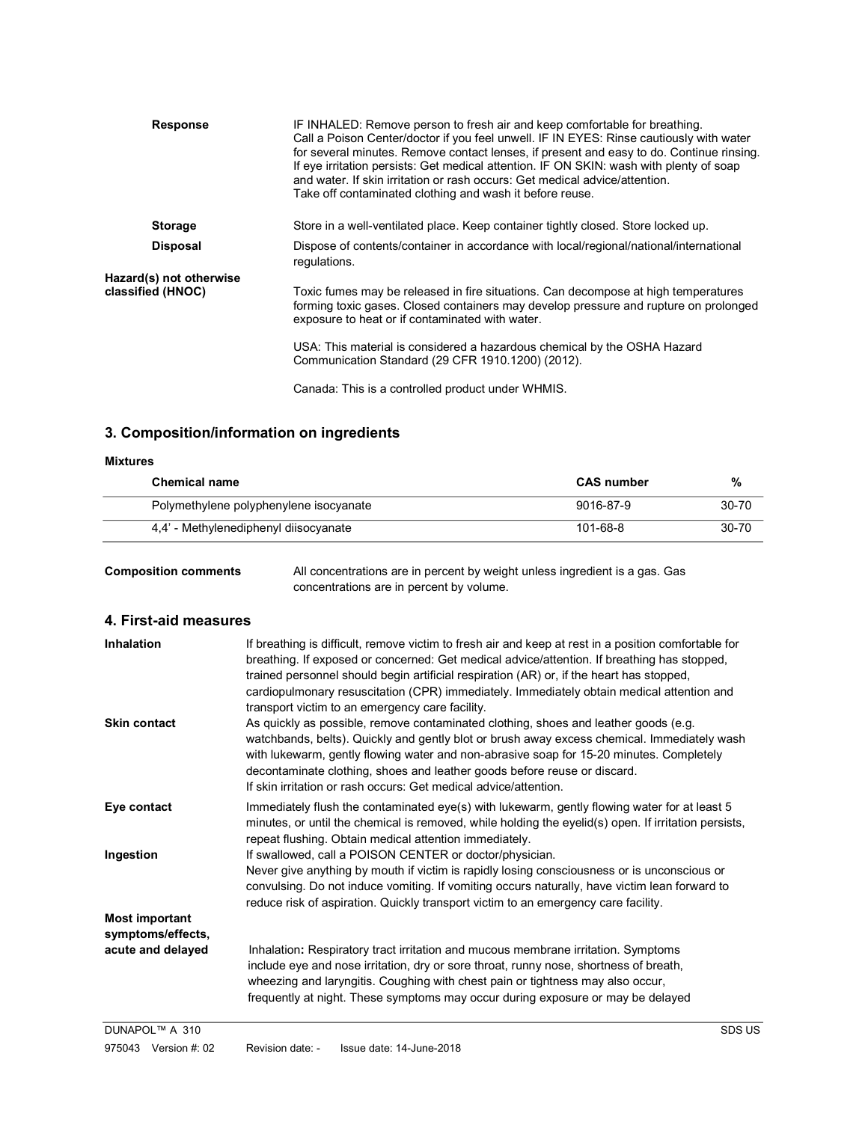| <b>Response</b>         | IF INHALED: Remove person to fresh air and keep comfortable for breathing.<br>Call a Poison Center/doctor if you feel unwell. IF IN EYES: Rinse cautiously with water<br>for several minutes. Remove contact lenses, if present and easy to do. Continue rinsing.<br>If eye irritation persists: Get medical attention. IF ON SKIN: wash with plenty of soap<br>and water. If skin irritation or rash occurs: Get medical advice/attention.<br>Take off contaminated clothing and wash it before reuse. |  |
|-------------------------|---------------------------------------------------------------------------------------------------------------------------------------------------------------------------------------------------------------------------------------------------------------------------------------------------------------------------------------------------------------------------------------------------------------------------------------------------------------------------------------------------------|--|
| <b>Storage</b>          | Store in a well-ventilated place. Keep container tightly closed. Store locked up.                                                                                                                                                                                                                                                                                                                                                                                                                       |  |
| <b>Disposal</b>         | Dispose of contents/container in accordance with local/regional/national/international<br>regulations.                                                                                                                                                                                                                                                                                                                                                                                                  |  |
| Hazard(s) not otherwise |                                                                                                                                                                                                                                                                                                                                                                                                                                                                                                         |  |
| classified (HNOC)       | Toxic fumes may be released in fire situations. Can decompose at high temperatures<br>forming toxic gases. Closed containers may develop pressure and rupture on prolonged<br>exposure to heat or if contaminated with water.                                                                                                                                                                                                                                                                           |  |
|                         | USA: This material is considered a hazardous chemical by the OSHA Hazard<br>Communication Standard (29 CFR 1910.1200) (2012).                                                                                                                                                                                                                                                                                                                                                                           |  |
|                         | Canada: This is a controlled product under WHMIS.                                                                                                                                                                                                                                                                                                                                                                                                                                                       |  |

## 3. Composition/information on ingredients

| <b>Mixtures</b>                        |                   |       |
|----------------------------------------|-------------------|-------|
| <b>Chemical name</b>                   | <b>CAS number</b> | %     |
| Polymethylene polyphenylene isocyanate | 9016-87-9         | 30-70 |
| 4.4' - Methylenediphenyl diisocyanate  | 101-68-8          | 30-70 |

Composition comments All concentrations are in percent by weight unless ingredient is a gas. Gas concentrations are in percent by volume.

## 4. First-aid measures

| <b>Inhalation</b><br><b>Skin contact</b>   | If breathing is difficult, remove victim to fresh air and keep at rest in a position comfortable for<br>breathing. If exposed or concerned: Get medical advice/attention. If breathing has stopped,<br>trained personnel should begin artificial respiration (AR) or, if the heart has stopped,<br>cardiopulmonary resuscitation (CPR) immediately. Immediately obtain medical attention and<br>transport victim to an emergency care facility.<br>As quickly as possible, remove contaminated clothing, shoes and leather goods (e.g.<br>watchbands, belts). Quickly and gently blot or brush away excess chemical. Immediately wash<br>with lukewarm, gently flowing water and non-abrasive soap for 15-20 minutes. Completely<br>decontaminate clothing, shoes and leather goods before reuse or discard.<br>If skin irritation or rash occurs: Get medical advice/attention. |
|--------------------------------------------|----------------------------------------------------------------------------------------------------------------------------------------------------------------------------------------------------------------------------------------------------------------------------------------------------------------------------------------------------------------------------------------------------------------------------------------------------------------------------------------------------------------------------------------------------------------------------------------------------------------------------------------------------------------------------------------------------------------------------------------------------------------------------------------------------------------------------------------------------------------------------------|
| Eye contact                                | Immediately flush the contaminated eye(s) with lukewarm, gently flowing water for at least 5<br>minutes, or until the chemical is removed, while holding the eyelid(s) open. If irritation persists,<br>repeat flushing. Obtain medical attention immediately.                                                                                                                                                                                                                                                                                                                                                                                                                                                                                                                                                                                                                   |
| Ingestion                                  | If swallowed, call a POISON CENTER or doctor/physician.<br>Never give anything by mouth if victim is rapidly losing consciousness or is unconscious or<br>convulsing. Do not induce vomiting. If vomiting occurs naturally, have victim lean forward to<br>reduce risk of aspiration. Quickly transport victim to an emergency care facility.                                                                                                                                                                                                                                                                                                                                                                                                                                                                                                                                    |
| <b>Most important</b><br>symptoms/effects, |                                                                                                                                                                                                                                                                                                                                                                                                                                                                                                                                                                                                                                                                                                                                                                                                                                                                                  |
| acute and delayed                          | Inhalation: Respiratory tract irritation and mucous membrane irritation. Symptoms<br>include eye and nose irritation, dry or sore throat, runny nose, shortness of breath,<br>wheezing and laryngitis. Coughing with chest pain or tightness may also occur,<br>frequently at night. These symptoms may occur during exposure or may be delayed                                                                                                                                                                                                                                                                                                                                                                                                                                                                                                                                  |
| DUNAPOL™ A 310                             | SDS US                                                                                                                                                                                                                                                                                                                                                                                                                                                                                                                                                                                                                                                                                                                                                                                                                                                                           |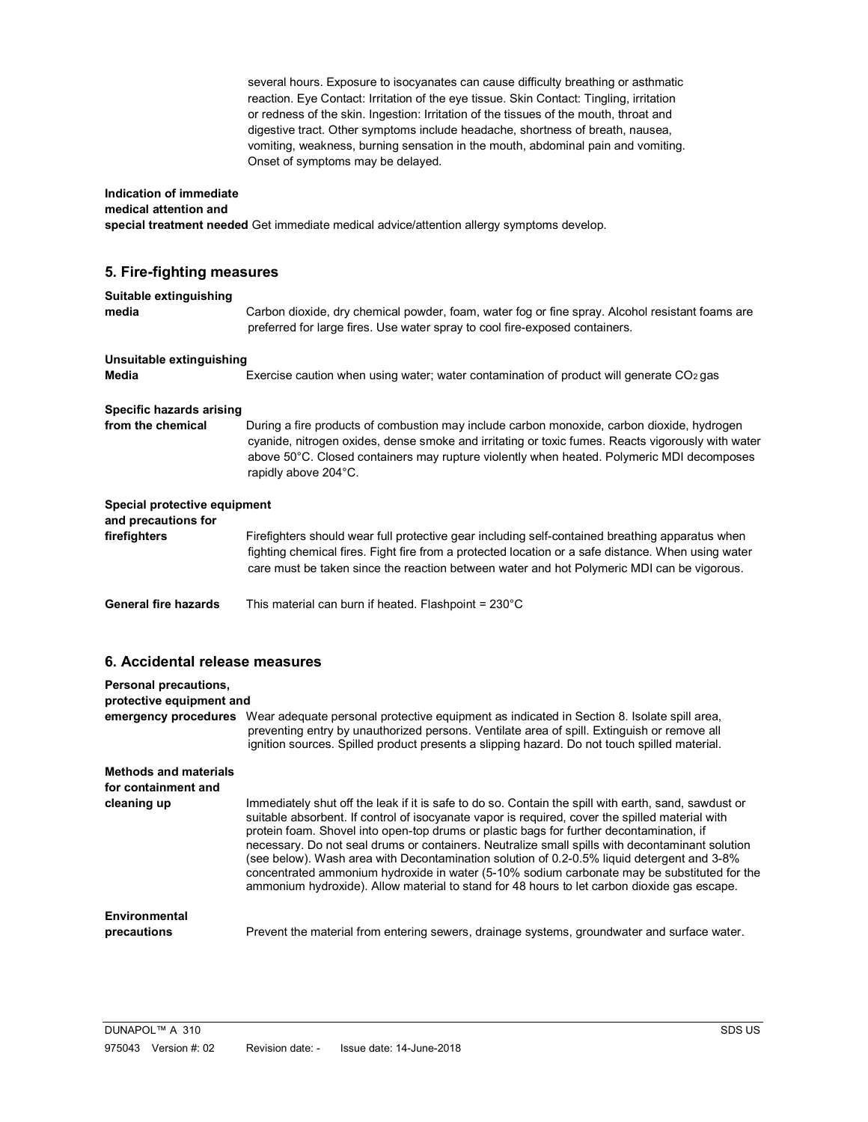several hours. Exposure to isocyanates can cause difficulty breathing or asthmatic reaction. Eye Contact: Irritation of the eye tissue. Skin Contact: Tingling, irritation or redness of the skin. Ingestion: Irritation of the tissues of the mouth, throat and digestive tract. Other symptoms include headache, shortness of breath, nausea, vomiting, weakness, burning sensation in the mouth, abdominal pain and vomiting. Onset of symptoms may be delayed.

#### Indication of immediate medical attention and

special treatment needed Get immediate medical advice/attention allergy symptoms develop.

## 5. Fire-fighting measures

| Suitable extinguishing<br>media                     | Carbon dioxide, dry chemical powder, foam, water fog or fine spray. Alcohol resistant foams are<br>preferred for large fires. Use water spray to cool fire-exposed containers.                                                                                                                                       |  |
|-----------------------------------------------------|----------------------------------------------------------------------------------------------------------------------------------------------------------------------------------------------------------------------------------------------------------------------------------------------------------------------|--|
| Unsuitable extinguishing<br>Media                   | Exercise caution when using water; water contamination of product will generate $CO2$ gas                                                                                                                                                                                                                            |  |
|                                                     |                                                                                                                                                                                                                                                                                                                      |  |
| Specific hazards arising                            |                                                                                                                                                                                                                                                                                                                      |  |
| from the chemical                                   | During a fire products of combustion may include carbon monoxide, carbon dioxide, hydrogen<br>cyanide, nitrogen oxides, dense smoke and irritating or toxic fumes. Reacts vigorously with water<br>above 50°C. Closed containers may rupture violently when heated. Polymeric MDI decomposes<br>rapidly above 204°C. |  |
| Special protective equipment<br>and precautions for |                                                                                                                                                                                                                                                                                                                      |  |
| firefighters                                        | Firefighters should wear full protective gear including self-contained breathing apparatus when<br>fighting chemical fires. Fight fire from a protected location or a safe distance. When using water<br>care must be taken since the reaction between water and hot Polymeric MDI can be vigorous.                  |  |
| <b>General fire hazards</b>                         | This material can burn if heated. Flashpoint = $230^{\circ}$ C                                                                                                                                                                                                                                                       |  |

## 6. Accidental release measures

| Personal precautions,<br>protective equipment and |                                                                                                                                                                                                                                                                                                                                                                                                                                                                                                                                                                                                                                                                                                    |  |
|---------------------------------------------------|----------------------------------------------------------------------------------------------------------------------------------------------------------------------------------------------------------------------------------------------------------------------------------------------------------------------------------------------------------------------------------------------------------------------------------------------------------------------------------------------------------------------------------------------------------------------------------------------------------------------------------------------------------------------------------------------------|--|
| emergency procedures                              | Wear adequate personal protective equipment as indicated in Section 8. Isolate spill area.<br>preventing entry by unauthorized persons. Ventilate area of spill. Extinguish or remove all<br>ignition sources. Spilled product presents a slipping hazard. Do not touch spilled material.                                                                                                                                                                                                                                                                                                                                                                                                          |  |
| <b>Methods and materials</b>                      |                                                                                                                                                                                                                                                                                                                                                                                                                                                                                                                                                                                                                                                                                                    |  |
| for containment and                               |                                                                                                                                                                                                                                                                                                                                                                                                                                                                                                                                                                                                                                                                                                    |  |
| cleaning up                                       | Immediately shut off the leak if it is safe to do so. Contain the spill with earth, sand, sawdust or<br>suitable absorbent. If control of isocyanate vapor is required, cover the spilled material with<br>protein foam. Shovel into open-top drums or plastic bags for further decontamination, if<br>necessary. Do not seal drums or containers. Neutralize small spills with decontaminant solution<br>(see below). Wash area with Decontamination solution of 0.2-0.5% liquid detergent and 3-8%<br>concentrated ammonium hydroxide in water (5-10% sodium carbonate may be substituted for the<br>ammonium hydroxide). Allow material to stand for 48 hours to let carbon dioxide gas escape. |  |
| Environmental<br>precautions                      | Prevent the material from entering sewers, drainage systems, groundwater and surface water.                                                                                                                                                                                                                                                                                                                                                                                                                                                                                                                                                                                                        |  |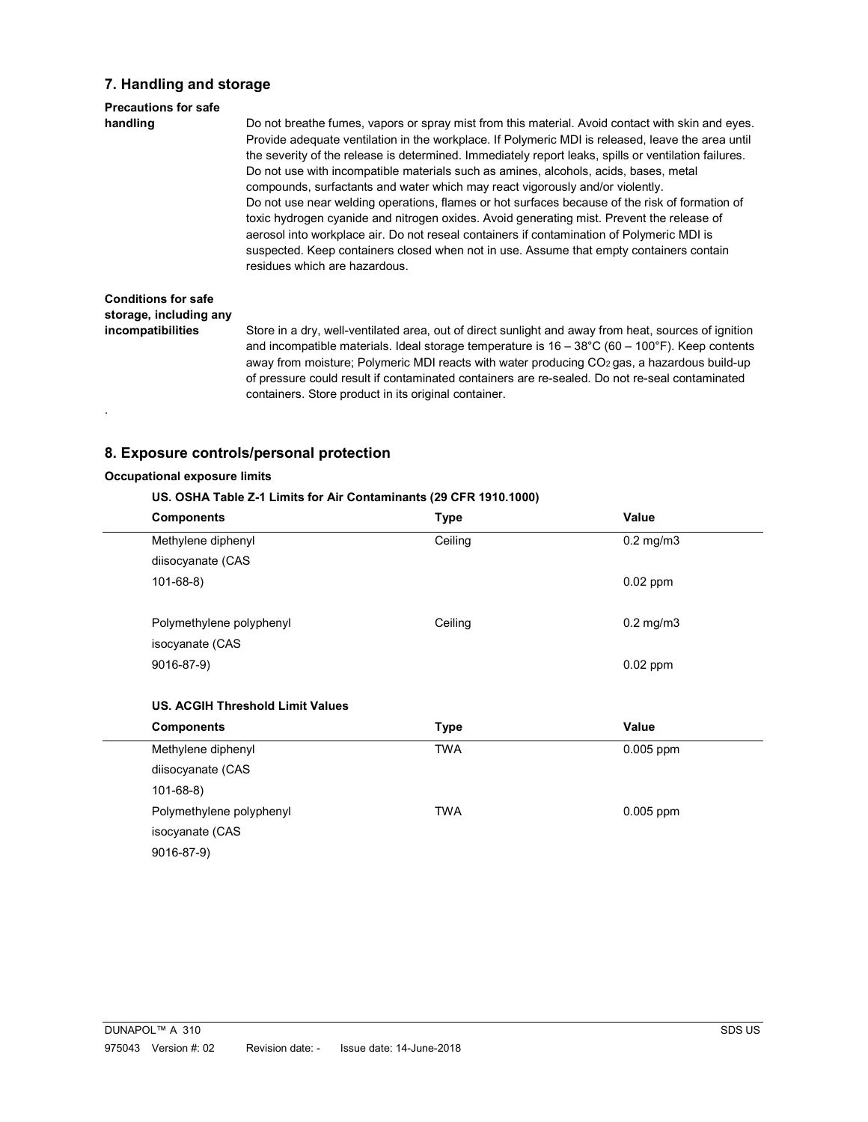## 7. Handling and storage

## Precautions for safe handling Do not breathe fumes, vapors or spray mist from this material. Avoid contact with skin and eyes. Provide adequate ventilation in the workplace. If Polymeric MDI is released, leave the area until the severity of the release is determined. Immediately report leaks, spills or ventilation failures. Do not use with incompatible materials such as amines, alcohols, acids, bases, metal compounds, surfactants and water which may react vigorously and/or violently. Do not use near welding operations, flames or hot surfaces because of the risk of formation of toxic hydrogen cyanide and nitrogen oxides. Avoid generating mist. Prevent the release of aerosol into workplace air. Do not reseal containers if contamination of Polymeric MDI is suspected. Keep containers closed when not in use. Assume that empty containers contain residues which are hazardous. Conditions for safe storage, including any incompatibilities Store in a dry, well-ventilated area, out of direct sunlight and away from heat, sources of ignition and incompatible materials. Ideal storage temperature is 16 – 38°C (60 – 100°F). Keep contents

away from moisture; Polymeric MDI reacts with water producing CO<sub>2</sub> gas, a hazardous build-up of pressure could result if contaminated containers are re-sealed. Do not re-seal contaminated containers. Store product in its original container.

## 8. Exposure controls/personal protection

## Occupational exposure limits

.

#### US. OSHA Table Z-1 Limits for Air Contaminants (29 CFR 1910.1000)

| <b>Components</b>                       | <b>Type</b> | Value          |
|-----------------------------------------|-------------|----------------|
| Methylene diphenyl                      | Ceiling     | $0.2$ mg/m $3$ |
| diisocyanate (CAS                       |             |                |
| $101 - 68 - 8$                          |             | $0.02$ ppm     |
|                                         |             |                |
| Polymethylene polyphenyl                | Ceiling     | $0.2$ mg/m $3$ |
| isocyanate (CAS                         |             |                |
| 9016-87-9)                              |             | $0.02$ ppm     |
|                                         |             |                |
| <b>US. ACGIH Threshold Limit Values</b> |             |                |
| <b>Components</b>                       | <b>Type</b> | Value          |
| Methylene diphenyl                      | <b>TWA</b>  | 0.005 ppm      |
| diisocyanate (CAS                       |             |                |
| $101 - 68 - 8$                          |             |                |
| Polymethylene polyphenyl                | <b>TWA</b>  | 0.005 ppm      |
| isocyanate (CAS                         |             |                |
| 9016-87-9)                              |             |                |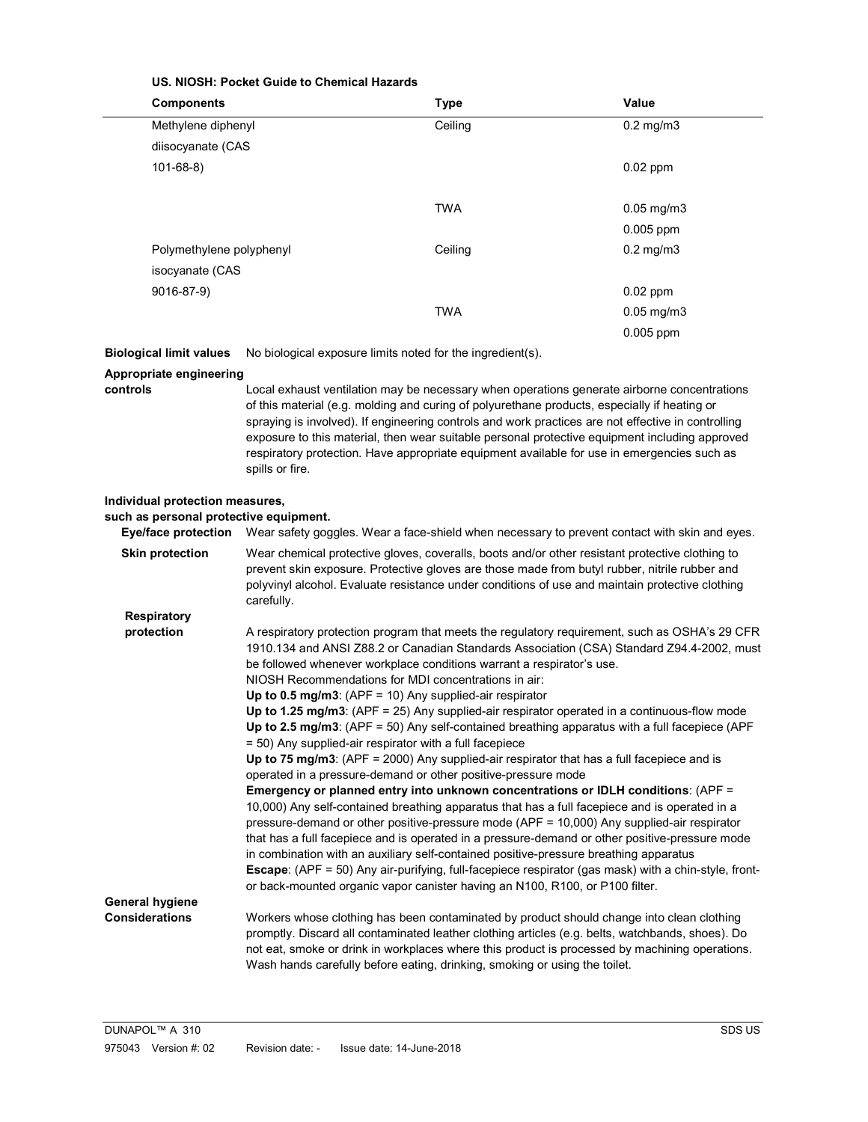|                                                                                                         | US. NIOSH: Pocket Guide to Chemical Hazards                                                                                                                                                                                                                                                                                                                                   |                                                                                                                                                                                                                                                                                                                                                                                                               |                                                                                                                                                                                                                                                                                                                                                                                                                                                                                                                                                                                                                                                                                                                                                                                                                                                                                                                                                                                          |
|---------------------------------------------------------------------------------------------------------|-------------------------------------------------------------------------------------------------------------------------------------------------------------------------------------------------------------------------------------------------------------------------------------------------------------------------------------------------------------------------------|---------------------------------------------------------------------------------------------------------------------------------------------------------------------------------------------------------------------------------------------------------------------------------------------------------------------------------------------------------------------------------------------------------------|------------------------------------------------------------------------------------------------------------------------------------------------------------------------------------------------------------------------------------------------------------------------------------------------------------------------------------------------------------------------------------------------------------------------------------------------------------------------------------------------------------------------------------------------------------------------------------------------------------------------------------------------------------------------------------------------------------------------------------------------------------------------------------------------------------------------------------------------------------------------------------------------------------------------------------------------------------------------------------------|
| <b>Components</b>                                                                                       |                                                                                                                                                                                                                                                                                                                                                                               | <b>Type</b>                                                                                                                                                                                                                                                                                                                                                                                                   | Value                                                                                                                                                                                                                                                                                                                                                                                                                                                                                                                                                                                                                                                                                                                                                                                                                                                                                                                                                                                    |
|                                                                                                         | Methylene diphenyl                                                                                                                                                                                                                                                                                                                                                            |                                                                                                                                                                                                                                                                                                                                                                                                               | $0.2$ mg/m $3$                                                                                                                                                                                                                                                                                                                                                                                                                                                                                                                                                                                                                                                                                                                                                                                                                                                                                                                                                                           |
| diisocyanate (CAS                                                                                       |                                                                                                                                                                                                                                                                                                                                                                               |                                                                                                                                                                                                                                                                                                                                                                                                               |                                                                                                                                                                                                                                                                                                                                                                                                                                                                                                                                                                                                                                                                                                                                                                                                                                                                                                                                                                                          |
| $101 - 68 - 8$                                                                                          |                                                                                                                                                                                                                                                                                                                                                                               |                                                                                                                                                                                                                                                                                                                                                                                                               | $0.02$ ppm                                                                                                                                                                                                                                                                                                                                                                                                                                                                                                                                                                                                                                                                                                                                                                                                                                                                                                                                                                               |
|                                                                                                         |                                                                                                                                                                                                                                                                                                                                                                               |                                                                                                                                                                                                                                                                                                                                                                                                               |                                                                                                                                                                                                                                                                                                                                                                                                                                                                                                                                                                                                                                                                                                                                                                                                                                                                                                                                                                                          |
|                                                                                                         |                                                                                                                                                                                                                                                                                                                                                                               | <b>TWA</b>                                                                                                                                                                                                                                                                                                                                                                                                    | $0.05$ mg/m $3$                                                                                                                                                                                                                                                                                                                                                                                                                                                                                                                                                                                                                                                                                                                                                                                                                                                                                                                                                                          |
|                                                                                                         |                                                                                                                                                                                                                                                                                                                                                                               |                                                                                                                                                                                                                                                                                                                                                                                                               | 0.005 ppm                                                                                                                                                                                                                                                                                                                                                                                                                                                                                                                                                                                                                                                                                                                                                                                                                                                                                                                                                                                |
| Polymethylene polyphenyl                                                                                |                                                                                                                                                                                                                                                                                                                                                                               | Ceiling                                                                                                                                                                                                                                                                                                                                                                                                       | $0.2$ mg/m $3$                                                                                                                                                                                                                                                                                                                                                                                                                                                                                                                                                                                                                                                                                                                                                                                                                                                                                                                                                                           |
| isocyanate (CAS                                                                                         |                                                                                                                                                                                                                                                                                                                                                                               |                                                                                                                                                                                                                                                                                                                                                                                                               |                                                                                                                                                                                                                                                                                                                                                                                                                                                                                                                                                                                                                                                                                                                                                                                                                                                                                                                                                                                          |
| 9016-87-9)                                                                                              |                                                                                                                                                                                                                                                                                                                                                                               |                                                                                                                                                                                                                                                                                                                                                                                                               | $0.02$ ppm                                                                                                                                                                                                                                                                                                                                                                                                                                                                                                                                                                                                                                                                                                                                                                                                                                                                                                                                                                               |
|                                                                                                         |                                                                                                                                                                                                                                                                                                                                                                               | <b>TWA</b>                                                                                                                                                                                                                                                                                                                                                                                                    | $0.05$ mg/m $3$                                                                                                                                                                                                                                                                                                                                                                                                                                                                                                                                                                                                                                                                                                                                                                                                                                                                                                                                                                          |
|                                                                                                         |                                                                                                                                                                                                                                                                                                                                                                               |                                                                                                                                                                                                                                                                                                                                                                                                               | 0.005 ppm                                                                                                                                                                                                                                                                                                                                                                                                                                                                                                                                                                                                                                                                                                                                                                                                                                                                                                                                                                                |
| <b>Biological limit values</b>                                                                          |                                                                                                                                                                                                                                                                                                                                                                               | No biological exposure limits noted for the ingredient(s).                                                                                                                                                                                                                                                                                                                                                    |                                                                                                                                                                                                                                                                                                                                                                                                                                                                                                                                                                                                                                                                                                                                                                                                                                                                                                                                                                                          |
| Appropriate engineering                                                                                 |                                                                                                                                                                                                                                                                                                                                                                               |                                                                                                                                                                                                                                                                                                                                                                                                               |                                                                                                                                                                                                                                                                                                                                                                                                                                                                                                                                                                                                                                                                                                                                                                                                                                                                                                                                                                                          |
| controls                                                                                                | spills or fire.                                                                                                                                                                                                                                                                                                                                                               |                                                                                                                                                                                                                                                                                                                                                                                                               | Local exhaust ventilation may be necessary when operations generate airborne concentrations<br>of this material (e.g. molding and curing of polyurethane products, especially if heating or<br>spraying is involved). If engineering controls and work practices are not effective in controlling<br>exposure to this material, then wear suitable personal protective equipment including approved<br>respiratory protection. Have appropriate equipment available for use in emergencies such as                                                                                                                                                                                                                                                                                                                                                                                                                                                                                       |
| Individual protection measures,<br>such as personal protective equipment.<br><b>Eye/face protection</b> |                                                                                                                                                                                                                                                                                                                                                                               |                                                                                                                                                                                                                                                                                                                                                                                                               | Wear safety goggles. Wear a face-shield when necessary to prevent contact with skin and eyes.                                                                                                                                                                                                                                                                                                                                                                                                                                                                                                                                                                                                                                                                                                                                                                                                                                                                                            |
| <b>Skin protection</b>                                                                                  | Wear chemical protective gloves, coveralls, boots and/or other resistant protective clothing to<br>prevent skin exposure. Protective gloves are those made from butyl rubber, nitrile rubber and<br>polyvinyl alcohol. Evaluate resistance under conditions of use and maintain protective clothing<br>carefully.                                                             |                                                                                                                                                                                                                                                                                                                                                                                                               |                                                                                                                                                                                                                                                                                                                                                                                                                                                                                                                                                                                                                                                                                                                                                                                                                                                                                                                                                                                          |
| <b>Respiratory</b>                                                                                      |                                                                                                                                                                                                                                                                                                                                                                               |                                                                                                                                                                                                                                                                                                                                                                                                               |                                                                                                                                                                                                                                                                                                                                                                                                                                                                                                                                                                                                                                                                                                                                                                                                                                                                                                                                                                                          |
| protection                                                                                              |                                                                                                                                                                                                                                                                                                                                                                               | be followed whenever workplace conditions warrant a respirator's use.<br>NIOSH Recommendations for MDI concentrations in air:<br>Up to 0.5 mg/m3: (APF = 10) Any supplied-air respirator<br>= 50) Any supplied-air respirator with a full facepiece<br>operated in a pressure-demand or other positive-pressure mode<br>in combination with an auxiliary self-contained positive-pressure breathing apparatus | A respiratory protection program that meets the regulatory requirement, such as OSHA's 29 CFR<br>1910.134 and ANSI Z88.2 or Canadian Standards Association (CSA) Standard Z94.4-2002, must<br>Up to 1.25 mg/m3: (APF = 25) Any supplied-air respirator operated in a continuous-flow mode<br>Up to 2.5 mg/m3: (APF = 50) Any self-contained breathing apparatus with a full facepiece (APF<br>Up to 75 mg/m3: (APF = $2000$ ) Any supplied-air respirator that has a full facepiece and is<br>Emergency or planned entry into unknown concentrations or IDLH conditions: (APF =<br>10,000) Any self-contained breathing apparatus that has a full facepiece and is operated in a<br>pressure-demand or other positive-pressure mode (APF = 10,000) Any supplied-air respirator<br>that has a full facepiece and is operated in a pressure-demand or other positive-pressure mode<br>Escape: (APF = 50) Any air-purifying, full-facepiece respirator (gas mask) with a chin-style, front- |
| <b>General hygiene</b>                                                                                  |                                                                                                                                                                                                                                                                                                                                                                               | or back-mounted organic vapor canister having an N100, R100, or P100 filter.                                                                                                                                                                                                                                                                                                                                  |                                                                                                                                                                                                                                                                                                                                                                                                                                                                                                                                                                                                                                                                                                                                                                                                                                                                                                                                                                                          |
| <b>Considerations</b>                                                                                   | Workers whose clothing has been contaminated by product should change into clean clothing<br>promptly. Discard all contaminated leather clothing articles (e.g. belts, watchbands, shoes). Do<br>not eat, smoke or drink in workplaces where this product is processed by machining operations.<br>Wash hands carefully before eating, drinking, smoking or using the toilet. |                                                                                                                                                                                                                                                                                                                                                                                                               |                                                                                                                                                                                                                                                                                                                                                                                                                                                                                                                                                                                                                                                                                                                                                                                                                                                                                                                                                                                          |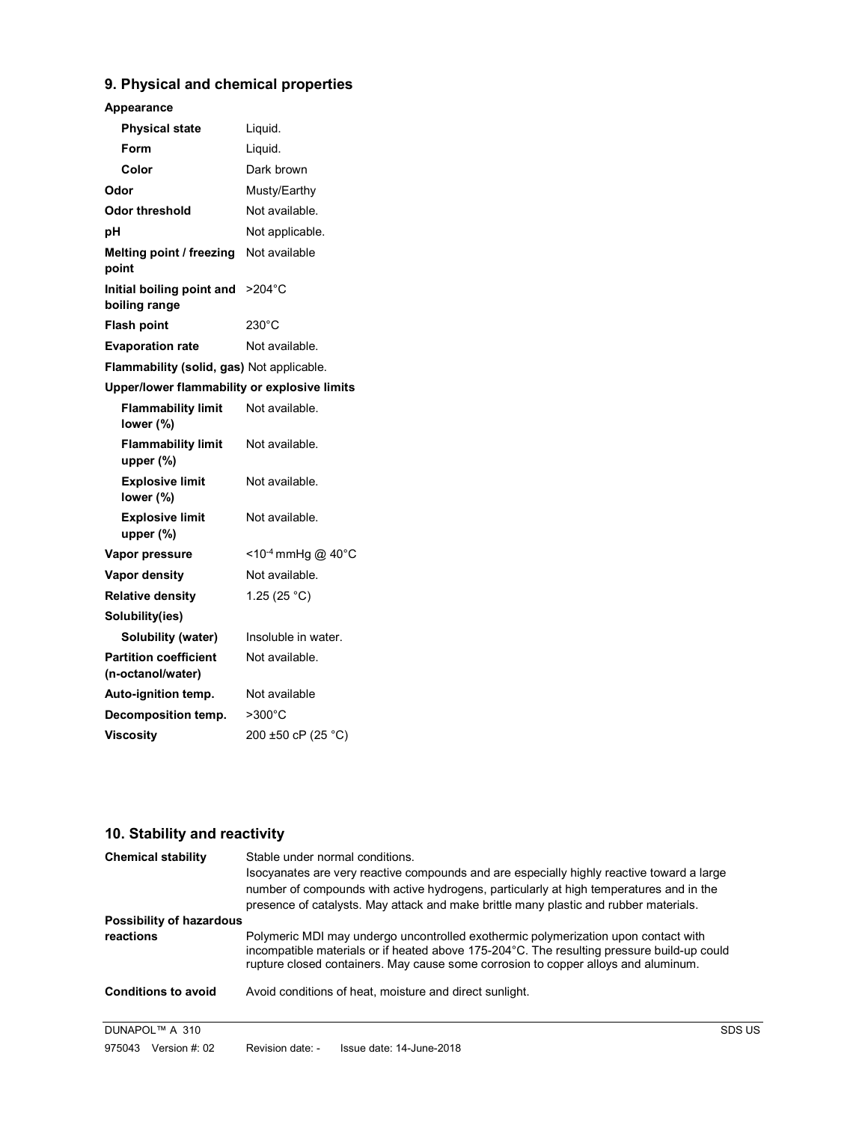## 9. Physical and chemical properties

## Appearance

| <b>Physical state</b>                             | Liquid.                          |
|---------------------------------------------------|----------------------------------|
| Form                                              | Liquid.                          |
| Color                                             | Dark brown                       |
| Odor                                              | Musty/Earthy                     |
| Odor threshold                                    | Not available.                   |
| рH                                                | Not applicable.                  |
| Melting point / freezing<br>point                 | Not available                    |
| Initial boiling point and<br>boiling range        | $>204^{\circ}$ C                 |
| <b>Flash point</b>                                | 230°C                            |
| <b>Evaporation rate</b>                           | Not available.                   |
| Flammability (solid, gas) Not applicable.         |                                  |
| Upper/lower flammability or explosive limits      |                                  |
| <b>Flammability limit</b><br>lower (%)            | Not available.                   |
| <b>Flammability limit</b><br>upper (%)            | Not available.                   |
| <b>Explosive limit</b><br>lower (%)               | Not available.                   |
| <b>Explosive limit</b><br>upper (%)               | Not available.                   |
| Vapor pressure                                    | $<$ 10 <sup>-4</sup> mmHg @ 40°C |
| <b>Vapor density</b>                              | Not available.                   |
| <b>Relative density</b>                           | 1.25 $(25 °C)$                   |
| Solubility(ies)                                   |                                  |
| Solubility (water)                                | Insoluble in water.              |
| <b>Partition coefficient</b><br>(n-octanol/water) | Not available.                   |
| Auto-ignition temp.                               | Not available                    |
| Decomposition temp.                               | >300°C                           |
| <b>Viscosity</b>                                  | 200 ±50 cP (25 °C)               |
|                                                   |                                  |

## 10. Stability and reactivity

| <b>Chemical stability</b>       | Stable under normal conditions.<br>Isocyanates are very reactive compounds and are especially highly reactive toward a large<br>number of compounds with active hydrogens, particularly at high temperatures and in the                                                 |        |  |
|---------------------------------|-------------------------------------------------------------------------------------------------------------------------------------------------------------------------------------------------------------------------------------------------------------------------|--------|--|
|                                 | presence of catalysts. May attack and make brittle many plastic and rubber materials.                                                                                                                                                                                   |        |  |
| <b>Possibility of hazardous</b> | Polymeric MDI may undergo uncontrolled exothermic polymerization upon contact with<br>incompatible materials or if heated above 175-204 °C. The resulting pressure build-up could<br>rupture closed containers. May cause some corrosion to copper alloys and aluminum. |        |  |
| reactions                       |                                                                                                                                                                                                                                                                         |        |  |
| <b>Conditions to avoid</b>      | Avoid conditions of heat, moisture and direct sunlight.                                                                                                                                                                                                                 |        |  |
| DUNAPOL™ A 310                  |                                                                                                                                                                                                                                                                         | SDS US |  |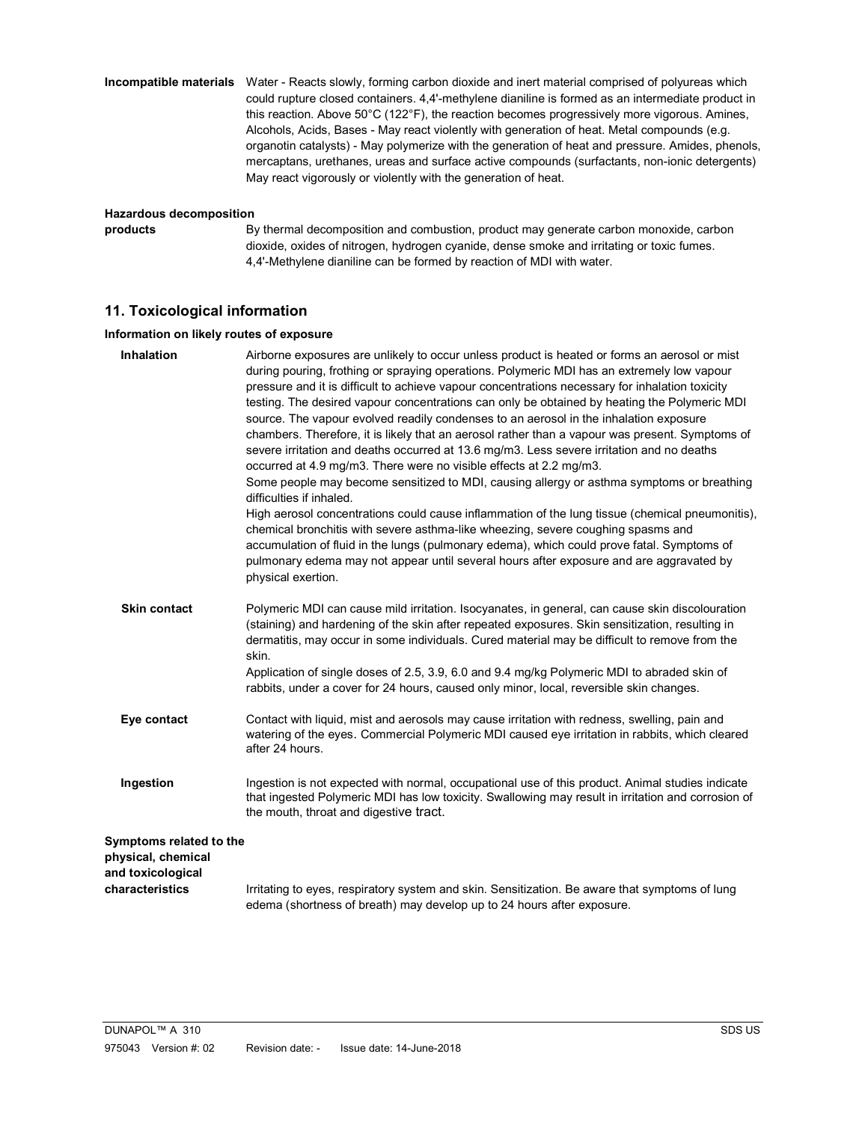### Incompatible materials Water - Reacts slowly, forming carbon dioxide and inert material comprised of polyureas which could rupture closed containers. 4,4'-methylene dianiline is formed as an intermediate product in this reaction. Above 50°C (122°F), the reaction becomes progressively more vigorous. Amines, Alcohols, Acids, Bases - May react violently with generation of heat. Metal compounds (e.g. organotin catalysts) - May polymerize with the generation of heat and pressure. Amides, phenols, mercaptans, urethanes, ureas and surface active compounds (surfactants, non-ionic detergents) May react vigorously or violently with the generation of heat.

#### Hazardous decomposition

products By thermal decomposition and combustion, product may generate carbon monoxide, carbon dioxide, oxides of nitrogen, hydrogen cyanide, dense smoke and irritating or toxic fumes. 4,4'-Methylene dianiline can be formed by reaction of MDI with water.

## 11. Toxicological information

#### Information on likely routes of exposure

| <b>Inhalation</b>                                                                     | Airborne exposures are unlikely to occur unless product is heated or forms an aerosol or mist<br>during pouring, frothing or spraying operations. Polymeric MDI has an extremely low vapour<br>pressure and it is difficult to achieve vapour concentrations necessary for inhalation toxicity<br>testing. The desired vapour concentrations can only be obtained by heating the Polymeric MDI<br>source. The vapour evolved readily condenses to an aerosol in the inhalation exposure<br>chambers. Therefore, it is likely that an aerosol rather than a vapour was present. Symptoms of<br>severe irritation and deaths occurred at 13.6 mg/m3. Less severe irritation and no deaths<br>occurred at 4.9 mg/m3. There were no visible effects at 2.2 mg/m3.<br>Some people may become sensitized to MDI, causing allergy or asthma symptoms or breathing<br>difficulties if inhaled.<br>High aerosol concentrations could cause inflammation of the lung tissue (chemical pneumonitis),<br>chemical bronchitis with severe asthma-like wheezing, severe coughing spasms and<br>accumulation of fluid in the lungs (pulmonary edema), which could prove fatal. Symptoms of<br>pulmonary edema may not appear until several hours after exposure and are aggravated by<br>physical exertion. |
|---------------------------------------------------------------------------------------|----------------------------------------------------------------------------------------------------------------------------------------------------------------------------------------------------------------------------------------------------------------------------------------------------------------------------------------------------------------------------------------------------------------------------------------------------------------------------------------------------------------------------------------------------------------------------------------------------------------------------------------------------------------------------------------------------------------------------------------------------------------------------------------------------------------------------------------------------------------------------------------------------------------------------------------------------------------------------------------------------------------------------------------------------------------------------------------------------------------------------------------------------------------------------------------------------------------------------------------------------------------------------------------------|
| <b>Skin contact</b>                                                                   | Polymeric MDI can cause mild irritation. Isocyanates, in general, can cause skin discolouration<br>(staining) and hardening of the skin after repeated exposures. Skin sensitization, resulting in<br>dermatitis, may occur in some individuals. Cured material may be difficult to remove from the<br>skin.<br>Application of single doses of 2.5, 3.9, 6.0 and 9.4 mg/kg Polymeric MDI to abraded skin of<br>rabbits, under a cover for 24 hours, caused only minor, local, reversible skin changes.                                                                                                                                                                                                                                                                                                                                                                                                                                                                                                                                                                                                                                                                                                                                                                                       |
| Eye contact                                                                           | Contact with liquid, mist and aerosols may cause irritation with redness, swelling, pain and<br>watering of the eyes. Commercial Polymeric MDI caused eye irritation in rabbits, which cleared<br>after 24 hours.                                                                                                                                                                                                                                                                                                                                                                                                                                                                                                                                                                                                                                                                                                                                                                                                                                                                                                                                                                                                                                                                            |
| Ingestion                                                                             | Ingestion is not expected with normal, occupational use of this product. Animal studies indicate<br>that ingested Polymeric MDI has low toxicity. Swallowing may result in irritation and corrosion of<br>the mouth, throat and digestive tract.                                                                                                                                                                                                                                                                                                                                                                                                                                                                                                                                                                                                                                                                                                                                                                                                                                                                                                                                                                                                                                             |
| Symptoms related to the<br>physical, chemical<br>and toxicological<br>characteristics | Irritating to eyes, respiratory system and skin. Sensitization. Be aware that symptoms of lung                                                                                                                                                                                                                                                                                                                                                                                                                                                                                                                                                                                                                                                                                                                                                                                                                                                                                                                                                                                                                                                                                                                                                                                               |
|                                                                                       | edema (shortness of breath) may develop up to 24 hours after exposure.                                                                                                                                                                                                                                                                                                                                                                                                                                                                                                                                                                                                                                                                                                                                                                                                                                                                                                                                                                                                                                                                                                                                                                                                                       |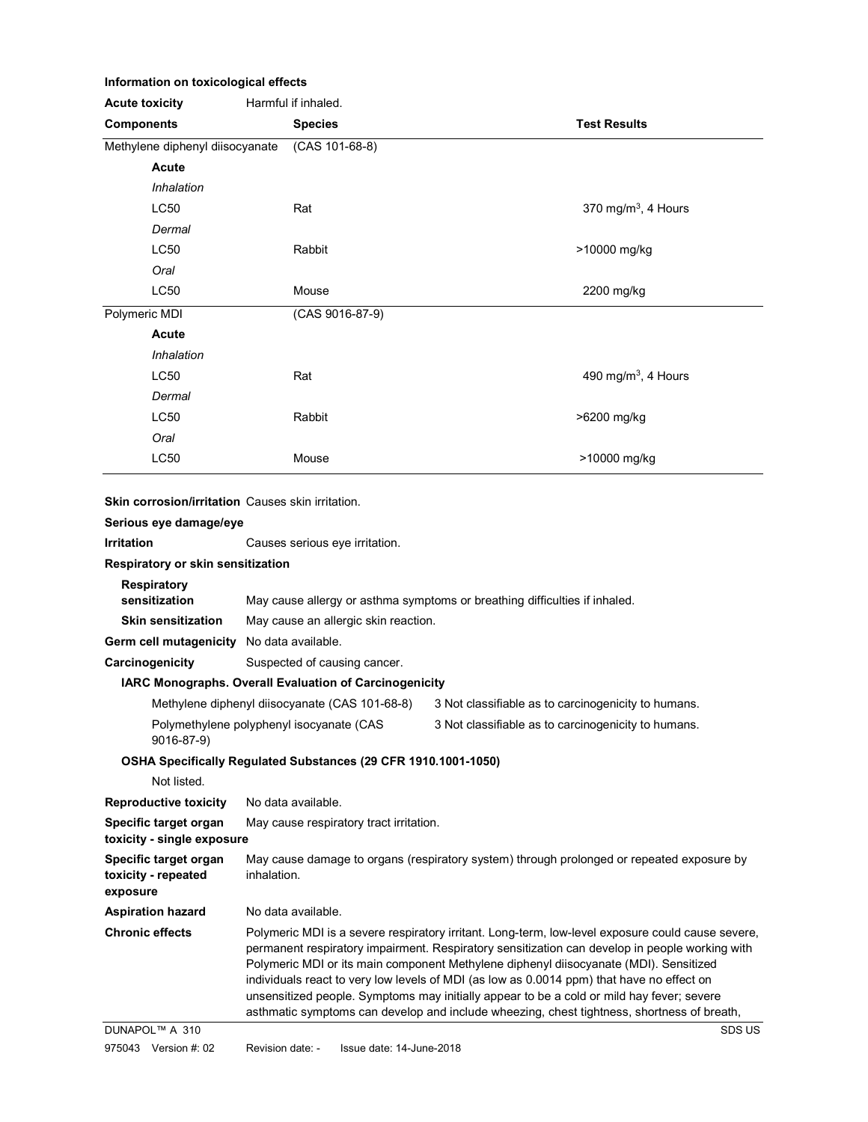#### Information on toxicological effects

| <b>Acute toxicity</b>                                    | Harmful if inhaled.                                                                             |                                                     |
|----------------------------------------------------------|-------------------------------------------------------------------------------------------------|-----------------------------------------------------|
| <b>Components</b>                                        | <b>Species</b>                                                                                  | <b>Test Results</b>                                 |
| Methylene diphenyl diisocyanate                          | $(CAS 101-68-8)$                                                                                |                                                     |
| Acute                                                    |                                                                                                 |                                                     |
| Inhalation                                               |                                                                                                 |                                                     |
| LC50                                                     | Rat                                                                                             | 370 mg/m <sup>3</sup> , 4 Hours                     |
| Dermal                                                   |                                                                                                 |                                                     |
| LC50                                                     | Rabbit                                                                                          | >10000 mg/kg                                        |
| Oral                                                     |                                                                                                 |                                                     |
| <b>LC50</b>                                              | Mouse                                                                                           | 2200 mg/kg                                          |
| Polymeric MDI                                            | (CAS 9016-87-9)                                                                                 |                                                     |
| Acute                                                    |                                                                                                 |                                                     |
| Inhalation                                               |                                                                                                 |                                                     |
| LC50                                                     | Rat                                                                                             | 490 mg/m <sup>3</sup> , 4 Hours                     |
| Dermal                                                   |                                                                                                 |                                                     |
| <b>LC50</b>                                              | Rabbit                                                                                          | >6200 mg/kg                                         |
| Oral                                                     |                                                                                                 |                                                     |
| <b>LC50</b>                                              | Mouse                                                                                           | >10000 mg/kg                                        |
|                                                          |                                                                                                 |                                                     |
| <b>Skin corrosion/irritation</b> Causes skin irritation. |                                                                                                 |                                                     |
| Serious eye damage/eye                                   |                                                                                                 |                                                     |
| <b>Irritation</b>                                        | Causes serious eye irritation.                                                                  |                                                     |
| Respiratory or skin sensitization                        |                                                                                                 |                                                     |
| <b>Respiratory</b><br>sensitization                      | May cause allergy or asthma symptoms or breathing difficulties if inhaled.                      |                                                     |
| <b>Skin sensitization</b>                                | May cause an allergic skin reaction.                                                            |                                                     |
| Germ cell mutagenicity No data available.                |                                                                                                 |                                                     |
| Carcinogenicity                                          | Suspected of causing cancer.                                                                    |                                                     |
|                                                          | IARC Monographs. Overall Evaluation of Carcinogenicity                                          |                                                     |
|                                                          | Methylene diphenyl diisocyanate (CAS 101-68-8)                                                  | 3 Not classifiable as to carcinogenicity to humans. |
| 9016-87-9)                                               | Polymethylene polyphenyl isocyanate (CAS<br>3 Not classifiable as to carcinogenicity to humans. |                                                     |
|                                                          | OSHA Specifically Regulated Substances (29 CFR 1910.1001-1050)                                  |                                                     |
| Not listed.                                              |                                                                                                 |                                                     |
| <b>Reproductive toxicity</b>                             | No data available.                                                                              |                                                     |
| Specific target organ                                    | May cause respiratory tract irritation.                                                         |                                                     |

Specific target organ May cause damage to organs (respiratory system) through prolonged or repeated exposure by toxicity - repeated inhalation. exposure

Aspiration hazard No data available. Chronic effects **Polymeric MDI** is a severe respiratory irritant. Long-term, low-level exposure could cause severe, permanent respiratory impairment. Respiratory sensitization can develop in people working with Polymeric MDI or its main component Methylene diphenyl diisocyanate (MDI). Sensitized individuals react to very low levels of MDI (as low as 0.0014 ppm) that have no effect on unsensitized people. Symptoms may initially appear to be a cold or mild hay fever; severe asthmatic symptoms can develop and include wheezing, chest tightness, shortness of breath,

toxicity - single exposure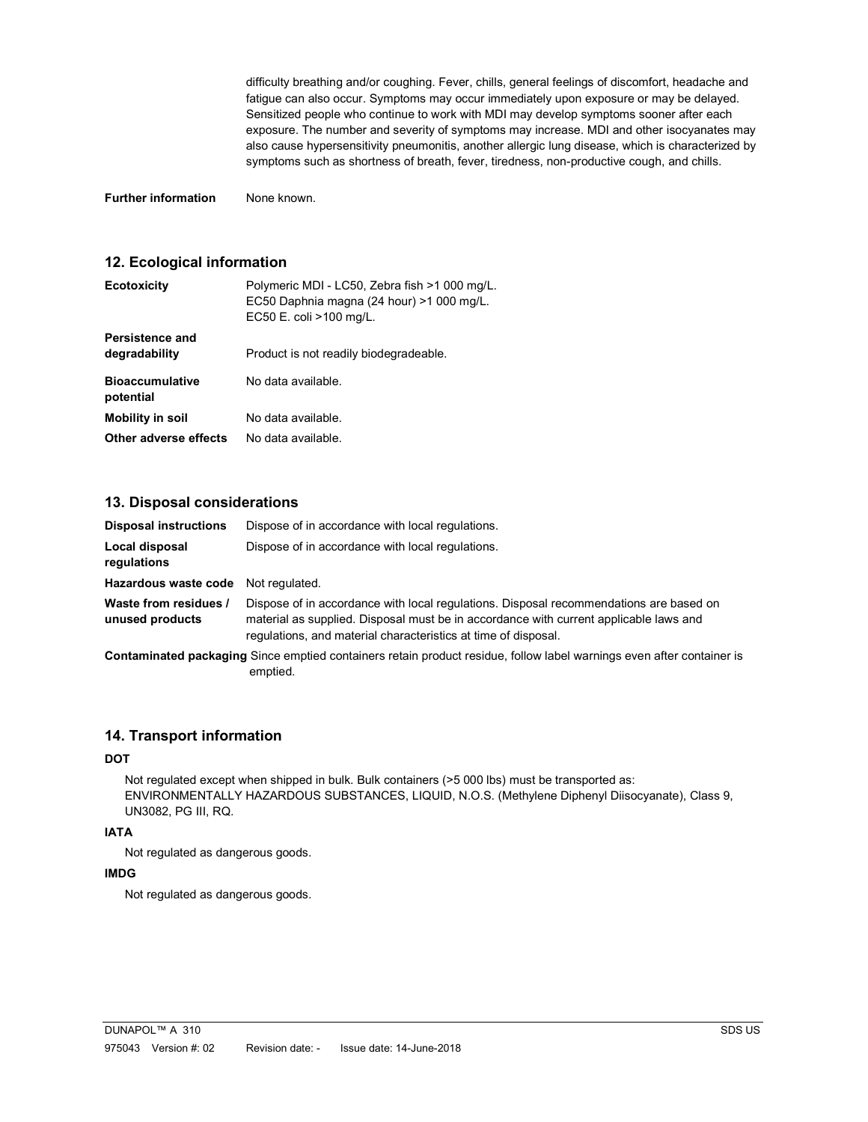difficulty breathing and/or coughing. Fever, chills, general feelings of discomfort, headache and fatigue can also occur. Symptoms may occur immediately upon exposure or may be delayed. Sensitized people who continue to work with MDI may develop symptoms sooner after each exposure. The number and severity of symptoms may increase. MDI and other isocyanates may also cause hypersensitivity pneumonitis, another allergic lung disease, which is characterized by symptoms such as shortness of breath, fever, tiredness, non-productive cough, and chills.

Further information None known.

## 12. Ecological information

| <b>Ecotoxicity</b>                  | Polymeric MDI - LC50, Zebra fish >1 000 mg/L.<br>EC50 Daphnia magna (24 hour) >1 000 mg/L.<br>EC50 E. coli >100 mg/L. |
|-------------------------------------|-----------------------------------------------------------------------------------------------------------------------|
| Persistence and<br>degradability    | Product is not readily biodegradeable.                                                                                |
| <b>Bioaccumulative</b><br>potential | No data available.                                                                                                    |
| <b>Mobility in soil</b>             | No data available.                                                                                                    |
| Other adverse effects               | No data available.                                                                                                    |

## 13. Disposal considerations

| <b>Disposal instructions</b>             | Dispose of in accordance with local regulations.                                                                                                                                                                                                  |
|------------------------------------------|---------------------------------------------------------------------------------------------------------------------------------------------------------------------------------------------------------------------------------------------------|
| Local disposal<br>regulations            | Dispose of in accordance with local regulations.                                                                                                                                                                                                  |
| Hazardous waste code                     | Not regulated.                                                                                                                                                                                                                                    |
| Waste from residues /<br>unused products | Dispose of in accordance with local regulations. Disposal recommendations are based on<br>material as supplied. Disposal must be in accordance with current applicable laws and<br>regulations, and material characteristics at time of disposal. |
|                                          | Contaminated packaging Since emptied containers retain product residue, follow label warnings even after container is<br>emptied.                                                                                                                 |

### 14. Transport information

### **DOT**

 Not regulated except when shipped in bulk. Bulk containers (>5 000 lbs) must be transported as: ENVIRONMENTALLY HAZARDOUS SUBSTANCES, LIQUID, N.O.S. (Methylene Diphenyl Diisocyanate), Class 9, UN3082, PG III, RQ.

#### IATA

Not regulated as dangerous goods.

## IMDG

Not regulated as dangerous goods.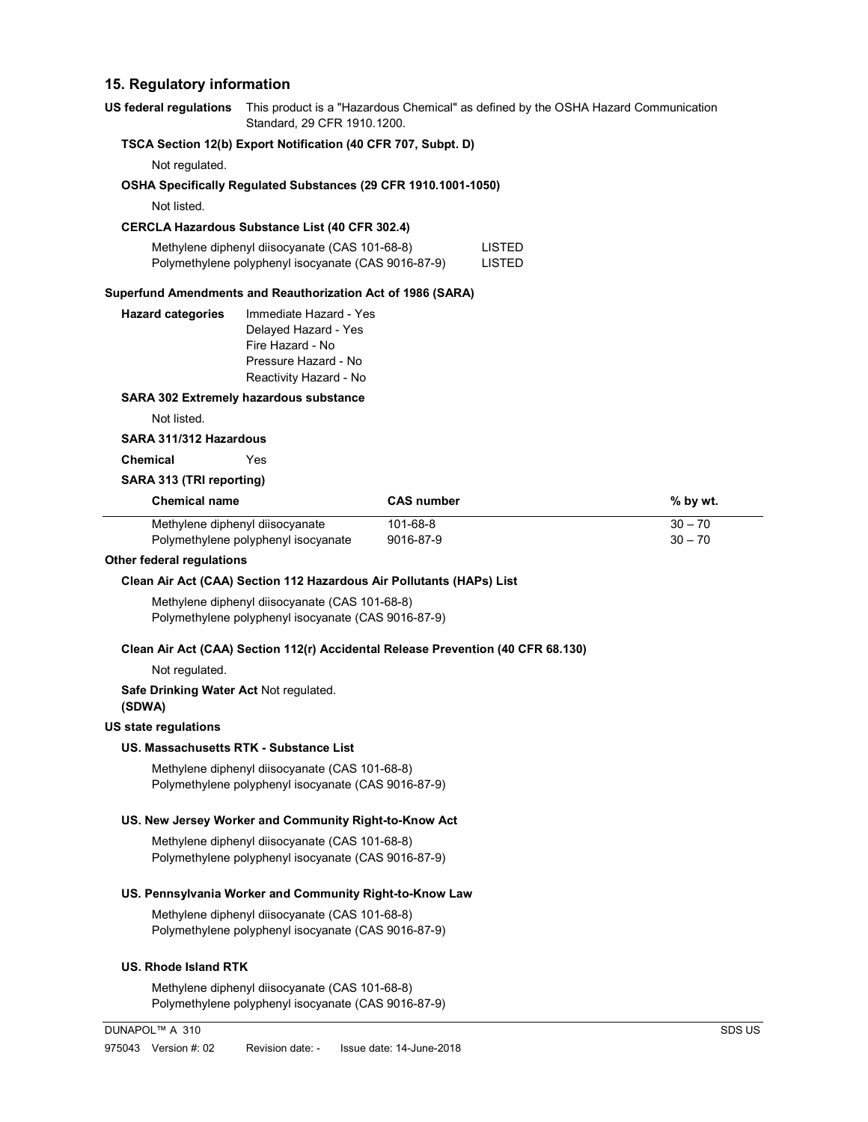## 15. Regulatory information

US federal regulations This product is a "Hazardous Chemical" as defined by the OSHA Hazard Communication Standard, 29 CFR 1910.1200.

## TSCA Section 12(b) Export Notification (40 CFR 707, Subpt. D)

Not regulated.

## OSHA Specifically Regulated Substances (29 CFR 1910.1001-1050)

Not listed.

## CERCLA Hazardous Substance List (40 CFR 302.4)

| Methylene diphenyl diisocyanate (CAS 101-68-8)      | <b>LISTED</b> |
|-----------------------------------------------------|---------------|
| Polymethylene polyphenyl isocyanate (CAS 9016-87-9) | LISTED        |

#### Superfund Amendments and Reauthorization Act of 1986 (SARA)

| <b>Hazard categories</b> | Immediate Hazard - Yes |
|--------------------------|------------------------|
|                          | Delayed Hazard - Yes   |
|                          | Fire Hazard - No       |
|                          | Pressure Hazard - No   |
|                          | Reactivity Hazard - No |
|                          |                        |

#### SARA 302 Extremely hazardous substance

Not listed.

#### SARA 311/312 Hazardous

Chemical Yes

#### SARA 313 (TRI reporting)

| <b>Chemical name</b>                | <b>CAS</b> number | $%$ by wt. |
|-------------------------------------|-------------------|------------|
| Methylene diphenyl diisocyanate     | 101-68-8          | $30 - 70$  |
| Polymethylene polyphenyl isocyanate | 9016-87-9         | $30 - 70$  |

#### Other federal regulations

#### Clean Air Act (CAA) Section 112 Hazardous Air Pollutants (HAPs) List

Methylene diphenyl diisocyanate (CAS 101-68-8) Polymethylene polyphenyl isocyanate (CAS 9016-87-9)

#### Clean Air Act (CAA) Section 112(r) Accidental Release Prevention (40 CFR 68.130)

Not regulated.

#### Safe Drinking Water Act Not regulated.

(SDWA)

#### US state regulations

#### US. Massachusetts RTK - Substance List

Methylene diphenyl diisocyanate (CAS 101-68-8) Polymethylene polyphenyl isocyanate (CAS 9016-87-9)

#### US. New Jersey Worker and Community Right-to-Know Act

Methylene diphenyl diisocyanate (CAS 101-68-8) Polymethylene polyphenyl isocyanate (CAS 9016-87-9)

#### US. Pennsylvania Worker and Community Right-to-Know Law

Methylene diphenyl diisocyanate (CAS 101-68-8) Polymethylene polyphenyl isocyanate (CAS 9016-87-9)

### US. Rhode Island RTK

Methylene diphenyl diisocyanate (CAS 101-68-8) Polymethylene polyphenyl isocyanate (CAS 9016-87-9)